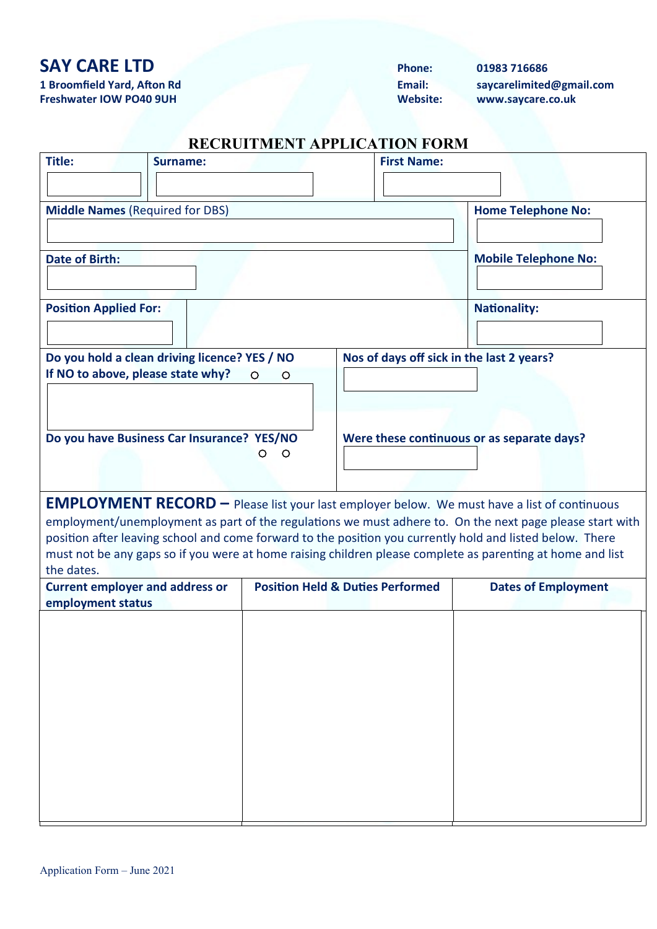# **SAY CARE LTD Phone: 01983 716686**

**1 Broomfield Yard, Afton Rd Email: saycarelimited@gmail.com Freshwater IOW PO40 9UH Website: www.saycare.co.uk**

### **RECRUITMENT APPLICATION FORM**

| Title:                                                                             | <b>Surname:</b> |                    | <b>First Name:</b>                          |                                                                                                                                                                                                                       |
|------------------------------------------------------------------------------------|-----------------|--------------------|---------------------------------------------|-----------------------------------------------------------------------------------------------------------------------------------------------------------------------------------------------------------------------|
|                                                                                    |                 |                    |                                             |                                                                                                                                                                                                                       |
| <b>Middle Names (Required for DBS)</b>                                             |                 |                    |                                             | <b>Home Telephone No:</b>                                                                                                                                                                                             |
|                                                                                    |                 |                    |                                             |                                                                                                                                                                                                                       |
| <b>Date of Birth:</b>                                                              |                 |                    |                                             | <b>Mobile Telephone No:</b>                                                                                                                                                                                           |
| <b>Position Applied For:</b>                                                       |                 |                    |                                             | <b>Nationality:</b>                                                                                                                                                                                                   |
| Do you hold a clean driving licence? YES / NO<br>If NO to above, please state why? |                 | $\circ$<br>$\circ$ | Nos of days off sick in the last 2 years?   |                                                                                                                                                                                                                       |
|                                                                                    |                 |                    |                                             |                                                                                                                                                                                                                       |
| Do you have Business Car Insurance? YES/NO                                         |                 |                    |                                             | Were these continuous or as separate days?                                                                                                                                                                            |
|                                                                                    |                 | $\circ$<br>Ο       |                                             |                                                                                                                                                                                                                       |
|                                                                                    |                 |                    |                                             |                                                                                                                                                                                                                       |
|                                                                                    |                 |                    |                                             | <b>EMPLOYMENT RECORD</b> - Please list your last employer below. We must have a list of continuous                                                                                                                    |
|                                                                                    |                 |                    |                                             | employment/unemployment as part of the regulations we must adhere to. On the next page please start with<br>position after leaving school and come forward to the position you currently hold and listed below. There |
|                                                                                    |                 |                    |                                             | must not be any gaps so if you were at home raising children please complete as parenting at home and list                                                                                                            |
| the dates.<br><b>Current employer and address or</b>                               |                 |                    | <b>Position Held &amp; Duties Performed</b> | <b>Dates of Employment</b>                                                                                                                                                                                            |
| employment status                                                                  |                 |                    |                                             |                                                                                                                                                                                                                       |
|                                                                                    |                 |                    |                                             |                                                                                                                                                                                                                       |
|                                                                                    |                 |                    |                                             |                                                                                                                                                                                                                       |
|                                                                                    |                 |                    |                                             |                                                                                                                                                                                                                       |
|                                                                                    |                 |                    |                                             |                                                                                                                                                                                                                       |
|                                                                                    |                 |                    |                                             |                                                                                                                                                                                                                       |
|                                                                                    |                 |                    |                                             |                                                                                                                                                                                                                       |
|                                                                                    |                 |                    |                                             |                                                                                                                                                                                                                       |
|                                                                                    |                 |                    |                                             |                                                                                                                                                                                                                       |
|                                                                                    |                 |                    |                                             |                                                                                                                                                                                                                       |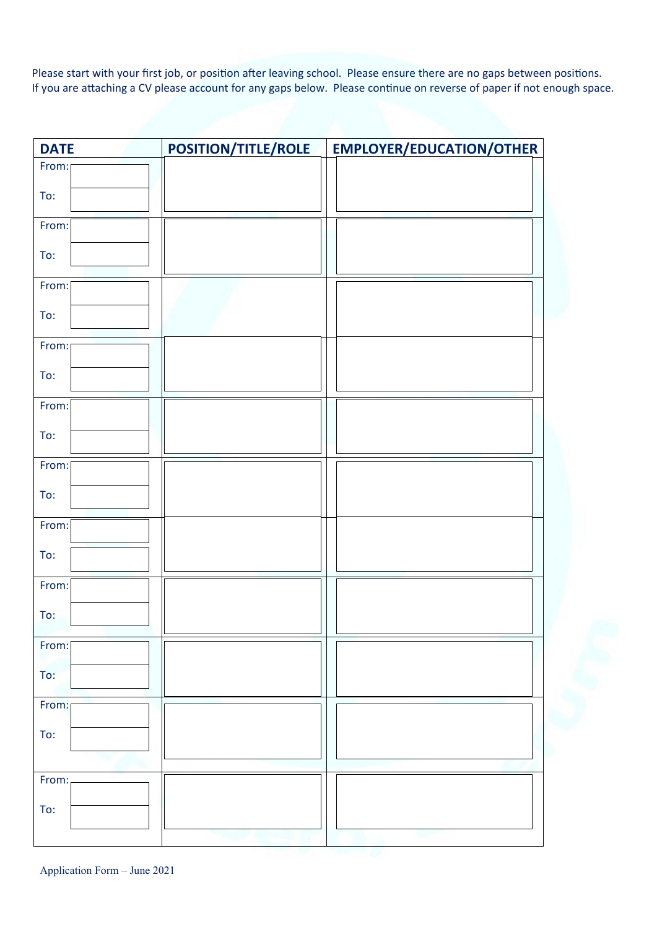Please start with your first job, or position after leaving school. Please ensure there are no gaps between positions. If you are attaching a CV please account for any gaps below. Please continue on reverse of paper if not enough space.

| <b>DATE</b> | POSITION/TITLE/ROLE | <b>EMPLOYER/EDUCATION/OTHER</b> |
|-------------|---------------------|---------------------------------|
| From:       |                     |                                 |
| To:         |                     |                                 |
| From:       |                     |                                 |
| To:         |                     |                                 |
| From:       |                     |                                 |
| To:         |                     |                                 |
| From:       |                     |                                 |
| To:         |                     |                                 |
| From:       |                     |                                 |
| To:         |                     |                                 |
| From:       |                     |                                 |
| To:         |                     |                                 |
| From:       |                     |                                 |
| To:         |                     |                                 |
| From:       |                     |                                 |
| To:         |                     |                                 |
| From:       |                     |                                 |
| To:         |                     |                                 |
| From:       |                     |                                 |
| To:         |                     |                                 |
|             |                     |                                 |
| From:       |                     |                                 |
| To:         |                     |                                 |
|             |                     |                                 |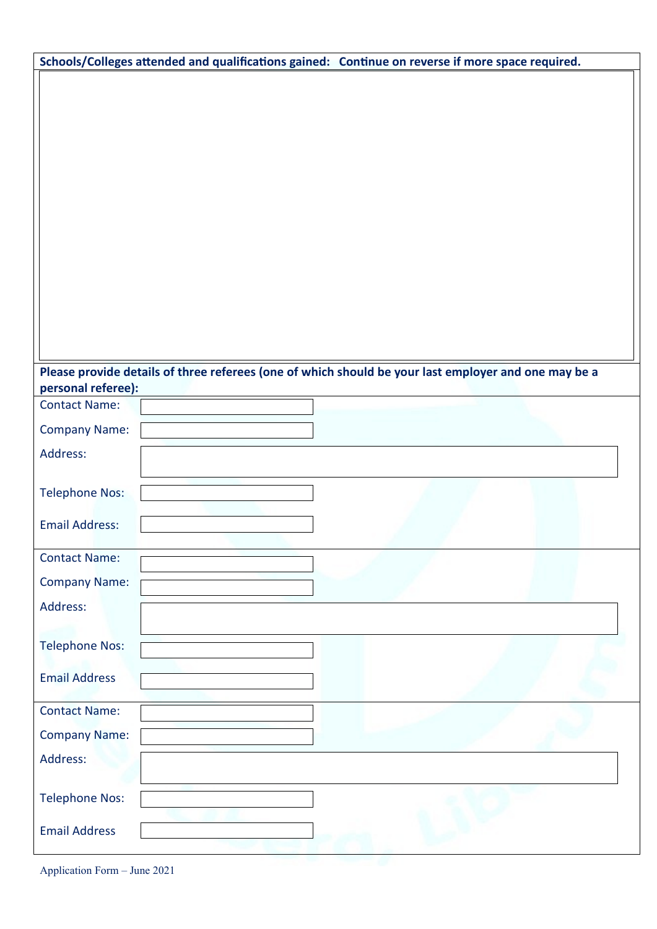| Schools/Colleges attended and qualifications gained: Continue on reverse if more space required.     |  |
|------------------------------------------------------------------------------------------------------|--|
|                                                                                                      |  |
|                                                                                                      |  |
|                                                                                                      |  |
|                                                                                                      |  |
|                                                                                                      |  |
|                                                                                                      |  |
|                                                                                                      |  |
|                                                                                                      |  |
|                                                                                                      |  |
|                                                                                                      |  |
|                                                                                                      |  |
|                                                                                                      |  |
|                                                                                                      |  |
| Please provide details of three referees (one of which should be your last employer and one may be a |  |
| personal referee):<br><b>Contact Name:</b>                                                           |  |
|                                                                                                      |  |
| <b>Company Name:</b>                                                                                 |  |
| Address:                                                                                             |  |
| <b>Telephone Nos:</b>                                                                                |  |
|                                                                                                      |  |
| <b>Email Address:</b>                                                                                |  |
| <b>Contact Name:</b>                                                                                 |  |
| <b>Company Name:</b>                                                                                 |  |
| Address:                                                                                             |  |
|                                                                                                      |  |
| <b>Telephone Nos:</b>                                                                                |  |
|                                                                                                      |  |
| <b>Email Address</b>                                                                                 |  |
| <b>Contact Name:</b>                                                                                 |  |
| <b>Company Name:</b>                                                                                 |  |
| Address:                                                                                             |  |
|                                                                                                      |  |
| <b>Telephone Nos:</b>                                                                                |  |
| <b>Email Address</b>                                                                                 |  |
|                                                                                                      |  |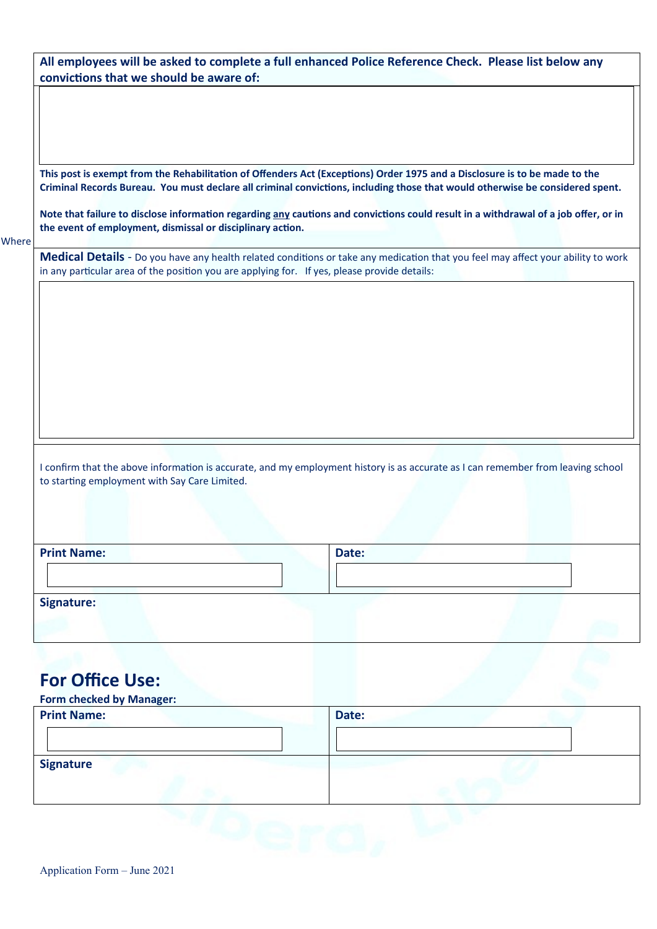| This post is exempt from the Rehabilitation of Offenders Act (Exceptions) Order 1975 and a Disclosure is to be made to the<br>Criminal Records Bureau. You must declare all criminal convictions, including those that would otherwise be considered spent.<br>Note that failure to disclose information regarding any cautions and convictions could result in a withdrawal of a job offer, or in<br>the event of employment, dismissal or disciplinary action. |                                                                                                                                                                                                                                  |  |  |  |  |
|------------------------------------------------------------------------------------------------------------------------------------------------------------------------------------------------------------------------------------------------------------------------------------------------------------------------------------------------------------------------------------------------------------------------------------------------------------------|----------------------------------------------------------------------------------------------------------------------------------------------------------------------------------------------------------------------------------|--|--|--|--|
|                                                                                                                                                                                                                                                                                                                                                                                                                                                                  | Medical Details - Do you have any health related conditions or take any medication that you feel may affect your ability to work<br>in any particular area of the position you are applying for. If yes, please provide details: |  |  |  |  |
|                                                                                                                                                                                                                                                                                                                                                                                                                                                                  |                                                                                                                                                                                                                                  |  |  |  |  |
|                                                                                                                                                                                                                                                                                                                                                                                                                                                                  |                                                                                                                                                                                                                                  |  |  |  |  |
|                                                                                                                                                                                                                                                                                                                                                                                                                                                                  |                                                                                                                                                                                                                                  |  |  |  |  |
|                                                                                                                                                                                                                                                                                                                                                                                                                                                                  |                                                                                                                                                                                                                                  |  |  |  |  |
|                                                                                                                                                                                                                                                                                                                                                                                                                                                                  |                                                                                                                                                                                                                                  |  |  |  |  |
|                                                                                                                                                                                                                                                                                                                                                                                                                                                                  |                                                                                                                                                                                                                                  |  |  |  |  |
| to starting employment with Say Care Limited.                                                                                                                                                                                                                                                                                                                                                                                                                    | I confirm that the above information is accurate, and my employment history is as accurate as I can remember from leaving school                                                                                                 |  |  |  |  |
|                                                                                                                                                                                                                                                                                                                                                                                                                                                                  |                                                                                                                                                                                                                                  |  |  |  |  |
| <b>Print Name:</b>                                                                                                                                                                                                                                                                                                                                                                                                                                               | Date:                                                                                                                                                                                                                            |  |  |  |  |

| <b>Print Name:</b> | Date: |
|--------------------|-------|
|                    |       |
| <b>Signature</b>   |       |
|                    |       |

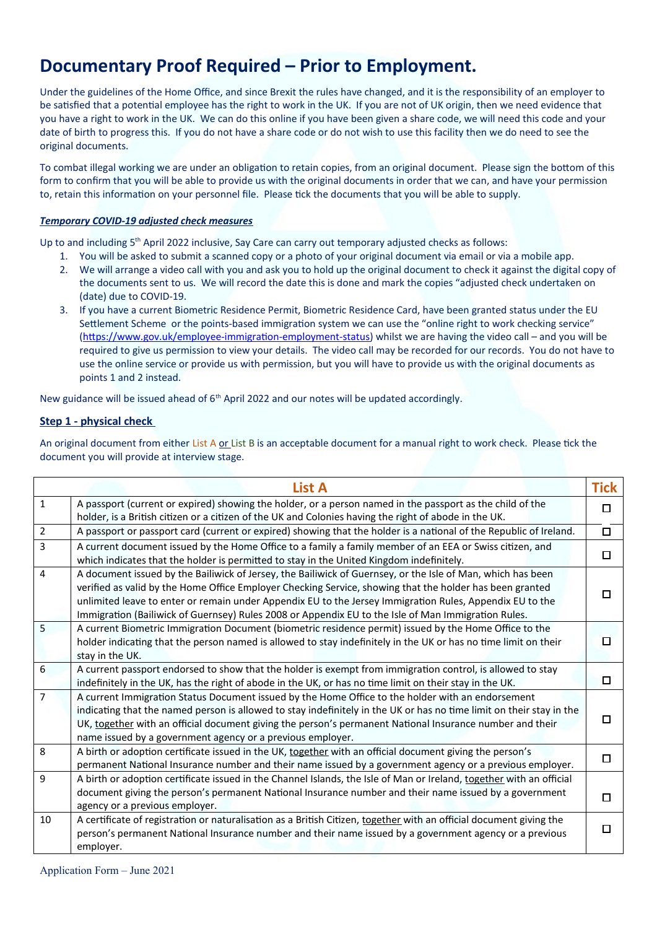# **Documentary Proof Required – Prior to Employment.**

Under the guidelines of the Home Office, and since Brexit the rules have changed, and it is the responsibility of an employer to be satisfied that a potential employee has the right to work in the UK. If you are not of UK origin, then we need evidence that you have a right to work in the UK. We can do this online if you have been given a share code, we will need this code and your date of birth to progress this. If you do not have a share code or do not wish to use this facility then we do need to see the original documents.

To combat illegal working we are under an obligation to retain copies, from an original document. Please sign the bottom of this form to confirm that you will be able to provide us with the original documents in order that we can, and have your permission to, retain this information on your personnel file. Please tick the documents that you will be able to supply.

#### *Temporary COVID-19 adjusted check measures*

Up to and including 5<sup>th</sup> April 2022 inclusive, Say Care can carry out temporary adjusted checks as follows:

- 1. You will be asked to submit a scanned copy or a photo of your original document via email or via a mobile app.
- 2. We will arrange a video call with you and ask you to hold up the original document to check it against the digital copy of the documents sent to us. We will record the date this is done and mark the copies "adjusted check undertaken on (date) due to COVID-19.
- 3. If you have a current Biometric Residence Permit, Biometric Residence Card, have been granted status under the EU Settlement Scheme or the points-based immigration system we can use the "online right to work checking service" (https://www.gov.uk/employee-immigration-employment-status) whilst we are having the video call – and you will be required to give us permission to view your details. The video call may be recorded for our records. You do not have to use the online service or provide us with permission, but you will have to provide us with the original documents as points 1 and 2 instead.

New guidance will be issued ahead of  $6<sup>th</sup>$  April 2022 and our notes will be updated accordingly.

#### **Step 1 - physical check**

An original document from either List A or List B is an acceptable document for a manual right to work check. Please tick the document you will provide at interview stage.

|                | <b>List A</b>                                                                                                                                                                                                                                                                                                                                                                                                                              | <b>Tick</b> |
|----------------|--------------------------------------------------------------------------------------------------------------------------------------------------------------------------------------------------------------------------------------------------------------------------------------------------------------------------------------------------------------------------------------------------------------------------------------------|-------------|
| $\mathbf{1}$   | A passport (current or expired) showing the holder, or a person named in the passport as the child of the<br>holder, is a British citizen or a citizen of the UK and Colonies having the right of abode in the UK.                                                                                                                                                                                                                         | п           |
| $\overline{2}$ | A passport or passport card (current or expired) showing that the holder is a national of the Republic of Ireland.                                                                                                                                                                                                                                                                                                                         | $\Box$      |
| 3              | A current document issued by the Home Office to a family a family member of an EEA or Swiss citizen, and<br>which indicates that the holder is permitted to stay in the United Kingdom indefinitely.                                                                                                                                                                                                                                       | □           |
| 4              | A document issued by the Bailiwick of Jersey, the Bailiwick of Guernsey, or the Isle of Man, which has been<br>verified as valid by the Home Office Employer Checking Service, showing that the holder has been granted<br>unlimited leave to enter or remain under Appendix EU to the Jersey Immigration Rules, Appendix EU to the<br>Immigration (Bailiwick of Guernsey) Rules 2008 or Appendix EU to the Isle of Man Immigration Rules. |             |
| 5              | A current Biometric Immigration Document (biometric residence permit) issued by the Home Office to the<br>holder indicating that the person named is allowed to stay indefinitely in the UK or has no time limit on their<br>stay in the UK.                                                                                                                                                                                               |             |
| 6              | A current passport endorsed to show that the holder is exempt from immigration control, is allowed to stay<br>indefinitely in the UK, has the right of abode in the UK, or has no time limit on their stay in the UK.                                                                                                                                                                                                                      | П           |
| $\overline{7}$ | A current Immigration Status Document issued by the Home Office to the holder with an endorsement<br>indicating that the named person is allowed to stay indefinitely in the UK or has no time limit on their stay in the<br>UK, together with an official document giving the person's permanent National Insurance number and their<br>name issued by a government agency or a previous employer.                                        |             |
| 8              | A birth or adoption certificate issued in the UK, together with an official document giving the person's<br>permanent National Insurance number and their name issued by a government agency or a previous employer.                                                                                                                                                                                                                       | □           |
| 9              | A birth or adoption certificate issued in the Channel Islands, the Isle of Man or Ireland, together with an official<br>document giving the person's permanent National Insurance number and their name issued by a government<br>agency or a previous employer.                                                                                                                                                                           |             |
| 10             | A certificate of registration or naturalisation as a British Citizen, together with an official document giving the<br>person's permanent National Insurance number and their name issued by a government agency or a previous<br>employer.                                                                                                                                                                                                | П           |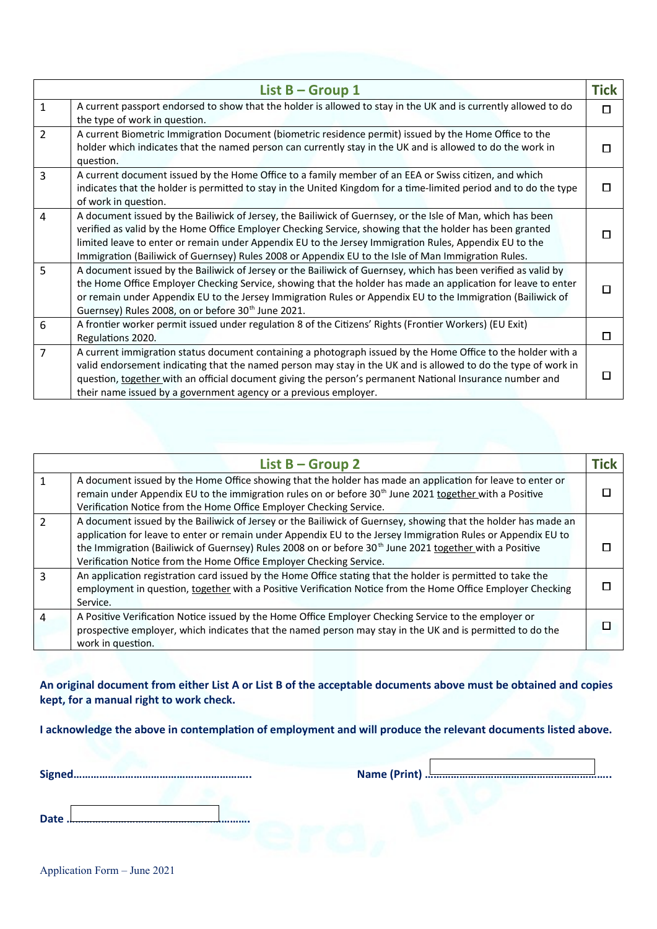|                | List $B -$ Group 1                                                                                                                                                                                                                                                                                                                                                                                                                       | <b>Tick</b> |
|----------------|------------------------------------------------------------------------------------------------------------------------------------------------------------------------------------------------------------------------------------------------------------------------------------------------------------------------------------------------------------------------------------------------------------------------------------------|-------------|
| $\mathbf{1}$   | A current passport endorsed to show that the holder is allowed to stay in the UK and is currently allowed to do<br>the type of work in question.                                                                                                                                                                                                                                                                                         | П           |
| $\overline{2}$ | A current Biometric Immigration Document (biometric residence permit) issued by the Home Office to the<br>holder which indicates that the named person can currently stay in the UK and is allowed to do the work in<br>question.                                                                                                                                                                                                        |             |
| 3              | A current document issued by the Home Office to a family member of an EEA or Swiss citizen, and which<br>indicates that the holder is permitted to stay in the United Kingdom for a time-limited period and to do the type<br>of work in question.                                                                                                                                                                                       |             |
| $\overline{4}$ | A document issued by the Bailiwick of Jersey, the Bailiwick of Guernsey, or the Isle of Man, which has been<br>verified as valid by the Home Office Employer Checking Service, showing that the holder has been granted<br>limited leave to enter or remain under Appendix EU to the Jersey Immigration Rules, Appendix EU to the<br>Immigration (Bailiwick of Guernsey) Rules 2008 or Appendix EU to the Isle of Man Immigration Rules. |             |
| 5              | A document issued by the Bailiwick of Jersey or the Bailiwick of Guernsey, which has been verified as valid by<br>the Home Office Employer Checking Service, showing that the holder has made an application for leave to enter<br>or remain under Appendix EU to the Jersey Immigration Rules or Appendix EU to the Immigration (Bailiwick of<br>Guernsey) Rules 2008, on or before 30 <sup>th</sup> June 2021.                         |             |
| 6              | A frontier worker permit issued under regulation 8 of the Citizens' Rights (Frontier Workers) (EU Exit)<br>Regulations 2020.                                                                                                                                                                                                                                                                                                             | П           |
| 7              | A current immigration status document containing a photograph issued by the Home Office to the holder with a<br>valid endorsement indicating that the named person may stay in the UK and is allowed to do the type of work in<br>question, together with an official document giving the person's permanent National Insurance number and<br>their name issued by a government agency or a previous employer.                           |             |

|                | List $B -$ Group 2                                                                                                                                                                                                                                                                                                                                                                                                           | Tick |
|----------------|------------------------------------------------------------------------------------------------------------------------------------------------------------------------------------------------------------------------------------------------------------------------------------------------------------------------------------------------------------------------------------------------------------------------------|------|
|                | A document issued by the Home Office showing that the holder has made an application for leave to enter or<br>remain under Appendix EU to the immigration rules on or before 30 <sup>th</sup> June 2021 together with a Positive<br>Verification Notice from the Home Office Employer Checking Service.                                                                                                                      |      |
| $\mathcal{P}$  | A document issued by the Bailiwick of Jersey or the Bailiwick of Guernsey, showing that the holder has made an<br>application for leave to enter or remain under Appendix EU to the Jersey Immigration Rules or Appendix EU to<br>the Immigration (Bailiwick of Guernsey) Rules 2008 on or before 30 <sup>th</sup> June 2021 together with a Positive<br>Verification Notice from the Home Office Employer Checking Service. |      |
| ς              | An application registration card issued by the Home Office stating that the holder is permitted to take the<br>employment in question, together with a Positive Verification Notice from the Home Office Employer Checking<br>Service.                                                                                                                                                                                       |      |
| $\overline{4}$ | A Positive Verification Notice issued by the Home Office Employer Checking Service to the employer or<br>prospective employer, which indicates that the named person may stay in the UK and is permitted to do the<br>work in question.                                                                                                                                                                                      |      |

**An original document from either List A or List B of the acceptable documents above must be obtained and copies kept, for a manual right to work check.**

**I acknowledge the above in contemplation of employment and will produce the relevant documents listed above.**

**Signed…………………………………………………….. Name (Print) ………………………………………………………..**

**Date ……………………………………………………….**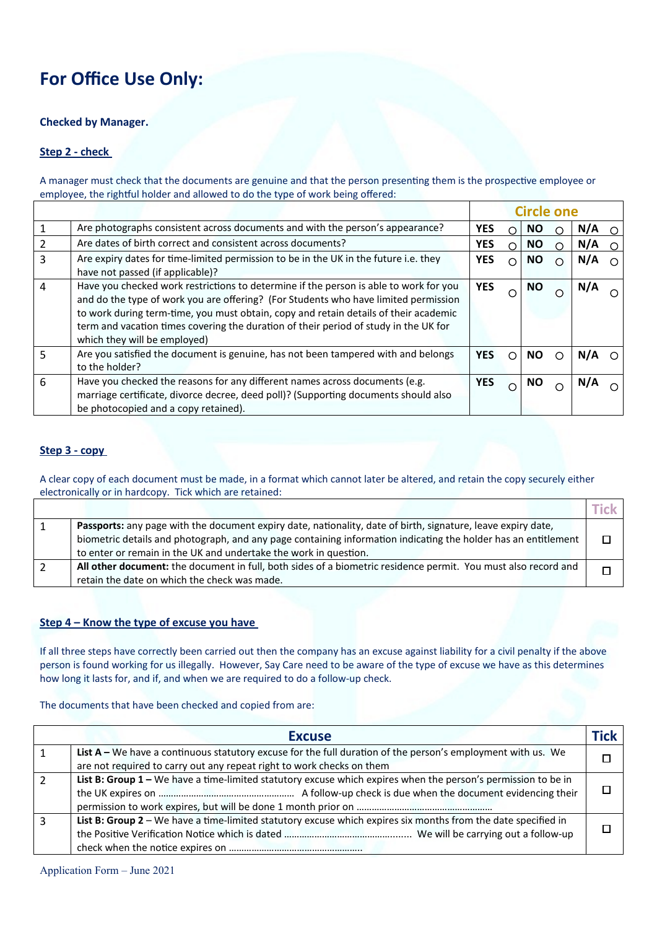# **For Office Use Only:**

#### **Checked by Manager.**

#### **Step 2 - check**

A manager must check that the documents are genuine and that the person presenting them is the prospective employee or employee, the rightful holder and allowed to do the type of work being offered:

|   |                                                                                                                                                                                                                                                                                                                                                                                              |            |   | <b>Circle one</b> |   |     |            |
|---|----------------------------------------------------------------------------------------------------------------------------------------------------------------------------------------------------------------------------------------------------------------------------------------------------------------------------------------------------------------------------------------------|------------|---|-------------------|---|-----|------------|
|   | Are photographs consistent across documents and with the person's appearance?                                                                                                                                                                                                                                                                                                                | <b>YES</b> | ∩ | <b>NO</b>         | ∩ | N/A | $\Omega$   |
|   | Are dates of birth correct and consistent across documents?                                                                                                                                                                                                                                                                                                                                  | <b>YES</b> | ∩ | <b>NO</b>         | ∩ | N/A | $\bigcirc$ |
| 3 | Are expiry dates for time-limited permission to be in the UK in the future i.e. they<br>have not passed (if applicable)?                                                                                                                                                                                                                                                                     | <b>YES</b> |   | <b>NO</b>         |   | N/A | ∩          |
| 4 | Have you checked work restrictions to determine if the person is able to work for you<br>and do the type of work you are offering? (For Students who have limited permission<br>to work during term-time, you must obtain, copy and retain details of their academic<br>term and vacation times covering the duration of their period of study in the UK for<br>which they will be employed) | <b>YES</b> |   | <b>NO</b>         |   | N/A |            |
| 5 | Are you satisfied the document is genuine, has not been tampered with and belongs<br>to the holder?                                                                                                                                                                                                                                                                                          | <b>YES</b> |   | <b>NO</b>         | € | N/A | ⌒          |
| 6 | Have you checked the reasons for any different names across documents (e.g.<br>marriage certificate, divorce decree, deed poll)? (Supporting documents should also<br>be photocopied and a copy retained).                                                                                                                                                                                   | <b>YES</b> |   | ΝO                |   | N/A |            |

#### **Step 3 - copy**

A clear copy of each document must be made, in a format which cannot later be altered, and retain the copy securely either electronically or in hardcopy. Tick which are retained:

| Passports: any page with the document expiry date, nationality, date of birth, signature, leave expiry date,   |  |
|----------------------------------------------------------------------------------------------------------------|--|
| biometric details and photograph, and any page containing information indicating the holder has an entitlement |  |
| to enter or remain in the UK and undertake the work in question.                                               |  |
| All other document: the document in full, both sides of a biometric residence permit. You must also record and |  |
| retain the date on which the check was made.                                                                   |  |

#### **Step 4 – Know the type of excuse you have**

If all three steps have correctly been carried out then the company has an excuse against liability for a civil penalty if the above person is found working for us illegally. However, Say Care need to be aware of the type of excuse we have as this determines how long it lasts for, and if, and when we are required to do a follow-up check.

The documents that have been checked and copied from are:

|    | <b>Excuse</b>                                                                                                 | Tick |
|----|---------------------------------------------------------------------------------------------------------------|------|
|    | List A – We have a continuous statutory excuse for the full duration of the person's employment with us. We   |      |
|    | are not required to carry out any repeat right to work checks on them                                         |      |
| 2  | List B: Group 1 - We have a time-limited statutory excuse which expires when the person's permission to be in |      |
|    |                                                                                                               |      |
|    |                                                                                                               |      |
| -3 | List B: Group 2 - We have a time-limited statutory excuse which expires six months from the date specified in |      |
|    |                                                                                                               |      |
|    |                                                                                                               |      |